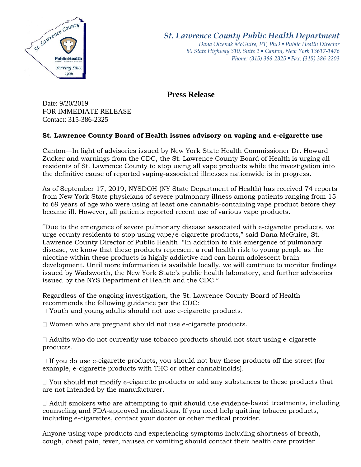

*St. Lawrence County Public Health Department*

*Dana Olzenak McGuire, PT, PhD ■ Public Health Director 80 State Highway 310, Suite 2 ■ Canton, New York 13617-1476 Phone: (315) 386-2325* ■ *Fax: (315) 386-2203*

**Press Release** 

Date: 9/20/2019 FOR IMMEDIATE RELEASE Contact: 315-386-2325

## **St. Lawrence County Board of Health issues advisory on vaping and e-cigarette use**

Canton—In light of advisories issued by New York State Health Commissioner Dr. Howard Zucker and warnings from the CDC, the St. Lawrence County Board of Health is urging all residents of St. Lawrence County to stop using all vape products while the investigation into the definitive cause of reported vaping-associated illnesses nationwide is in progress.

As of September 17, 2019, NYSDOH (NY State Department of Health) has received 74 reports from New York State physicians of severe pulmonary illness among patients ranging from 15 to 69 years of age who were using at least one cannabis-containing vape product before they became ill. However, all patients reported recent use of various vape products.

"Due to the emergence of severe pulmonary disease associated with e-cigarette products, we urge county residents to stop using vape/e-cigarette products," said Dana McGuire, St. Lawrence County Director of Public Health. "In addition to this emergence of pulmonary disease, we know that these products represent a real health risk to young people as the nicotine within these products is highly addictive and can harm adolescent brain development. Until more information is available locally, we will continue to monitor findings issued by Wadsworth, the New York State's public health laboratory, and further advisories issued by the NYS Department of Health and the CDC."

Regardless of the ongoing investigation, the St. Lawrence County Board of Health recommends the following guidance per the CDC:

Youth and young adults should not use e-cigarette products.

Women who are pregnant should not use e-cigarette products.

 $\Box$  Adults who do not currently use tobacco products should not start using e-cigarette products.

 $\Box$  If you do use e-cigarette products, you should not buy these products off the street (for example, e-cigarette products with THC or other cannabinoids).

 $\Box$  You should not modify e-cigarette products or add any substances to these products that are not intended by the manufacturer.

 $\Box$  Adult smokers who are attempting to quit should use evidence-based treatments, including counseling and FDA-approved medications. If you need help quitting tobacco products, including e-cigarettes, contact your doctor or other medical provider.

Anyone using vape products and experiencing symptoms including shortness of breath, cough, chest pain, fever, nausea or vomiting should contact their health care provider